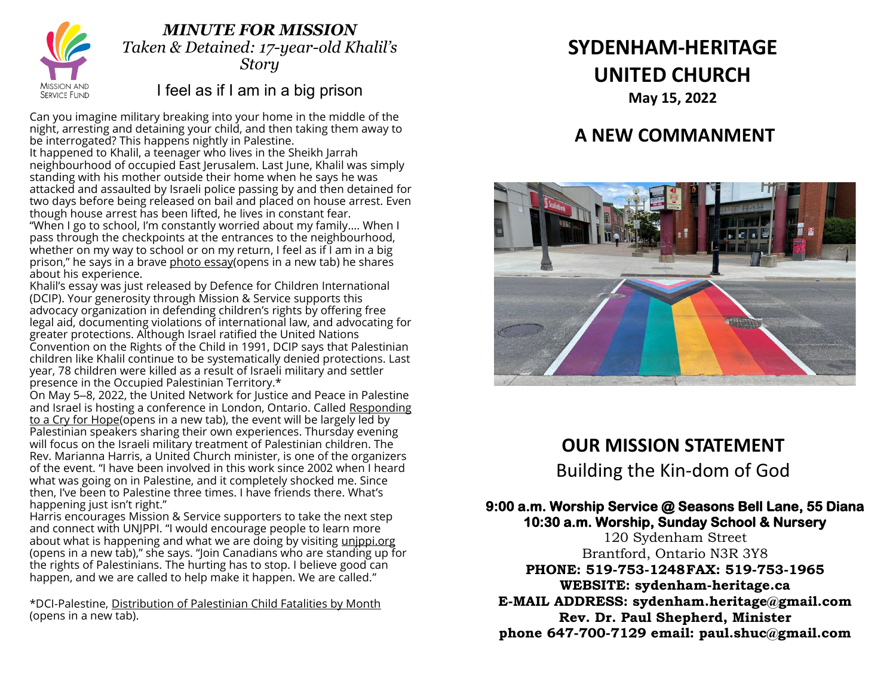

### *MINUTE FOR MISSION Taken & Detained: 17-year-old Khalil's Story*

# I feel as if I am in a big prison

Can you imagine military breaking into your home in the middle of the night, arresting and detaining your child, and then taking them away to be interrogated? This happens nightly in Palestine.

It happened to Khalil, a teenager who lives in the Sheikh Jarrah neighbourhood of occupied East Jerusalem. Last June, Khalil was simply standing with his mother outside their home when he says he was attacked and assaulted by Israeli police passing by and then detained for two days before being released on bail and placed on house arrest. Even though house arrest has been lifted, he lives in constant fear.

"When I go to school, I'm constantly worried about my family…. When I pass through the checkpoints at the entrances to the neighbourhood, whether on my way to school or on my return, I feel as if I am in a big prison," he says in a brave [photo essay\(opens in a new tab\)](https://www.dci-palestine.org/sheikh_jarrah_from_a_palestinian_child_s_perspective?utm_campaign=sheikh_jarrah_feature&utm_medium=email&utm_source=dcipalestine) he shares about his experience.

Khalil's essay was just released by Defence for Children International (DCIP). Your generosity through Mission & Service supports this advocacy organization in defending children's rights by offering free legal aid, documenting violations of international law, and advocating for greater protections. Although Israel ratified the United Nations Convention on the Rights of the Child in 1991, DCIP says that Palestinian children like Khalil continue to be systematically denied protections. Last year, 78 children were killed as a result of Israeli military and settler presence in the Occupied Palestinian Territory.\*

On May 5-8, 2022, the United Network for Justice and Peace in Palestine and Israel is hosting a conference in London, Ontario. Called [Responding](https://unjppi.ca/index.html)  [to a Cry for Hope\(opens in a new tab\),](https://unjppi.ca/index.html) the event will be largely led by Palestinian speakers sharing their own experiences. Thursday evening will focus on the Israeli military treatment of Palestinian children. The Rev. Marianna Harris, a United Church minister, is one of the organizers of the event. "I have been involved in this work since 2002 when I heard what was going on in Palestine, and it completely shocked me. Since then, I've been to Palestine three times. I have friends there. What's happening just isn't right."

Harris encourages Mission & Service supporters to take the next step and connect with UNJPPI. "I would encourage people to learn more about what is happening and what we are doing by visiting [unjppi.org](http://www.unjppi.org/) [\(opens in a new tab\),](http://www.unjppi.org/)" she says. "Join Canadians who are standing up for the rights of Palestinians. The hurting has to stop. I believe good can happen, and we are called to help make it happen. We are called."

\*DCI-Palestine, [Distribution of Palestinian Child Fatalities by Month](https://www.dci-palestine.org/child_fatalities_by_month) [\(opens in a new tab\).](https://www.dci-palestine.org/child_fatalities_by_month)

# **SYDENHAM-HERITAGE UNITED CHURCH May 15, 2022**

# **A NEW COMMANMENT**



# **OUR MISSION STATEMENT**

Building the Kin-dom of God

### **9:00 a.m. Worship Service @ Seasons Bell Lane, 55 Diana 10:30 a.m. Worship, Sunday School & Nursery**

120 Sydenham Street Brantford, Ontario N3R 3Y8 **PHONE: 519-753-1248FAX: 519-753-1965 WEBSITE: sydenham-heritage.ca E-MAIL ADDRESS: sydenham.heritage@gmail.com Rev. Dr. Paul Shepherd, Minister**

**phone 647-700-7129 email: paul.shuc@gmail.com**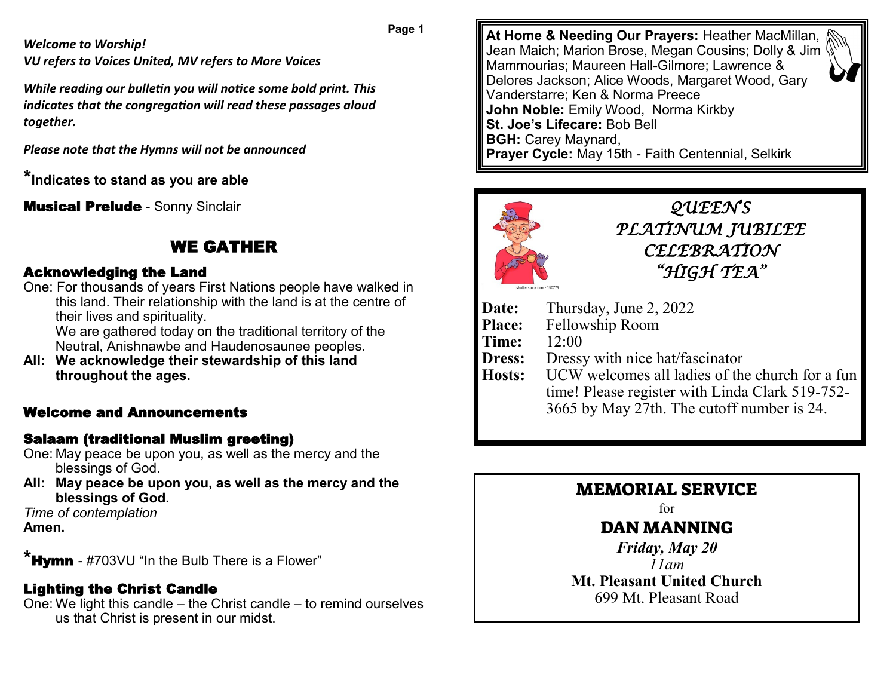**Page 1**

*Welcome to Worship!*

*VU refers to Voices United, MV refers to More Voices*

*While reading our bulletin you will notice some bold print. This indicates that the congregation will read these passages aloud together.* 

*Please note that the Hymns will not be announced*

**\*Indicates to stand as you are able**

**Musical Prelude - Sonny Sinclair** 

# WE GATHER

### Acknowledging the Land

One: For thousands of years First Nations people have walked in this land. Their relationship with the land is at the centre of their lives and spirituality.

We are gathered today on the traditional territory of the Neutral, Anishnawbe and Haudenosaunee peoples.

**All: We acknowledge their stewardship of this land throughout the ages.**

# Welcome and Announcements

### Salaam (traditional Muslim greeting)

- One: May peace be upon you, as well as the mercy and the blessings of God.
- **All: May peace be upon you, as well as the mercy and the blessings of God.**

*Time of contemplation* **Amen.**

**\***Hymn - #703VU "In the Bulb There is a Flower"

# Lighting the Christ Candle

One: We light this candle – the Christ candle – to remind ourselves us that Christ is present in our midst.

**At Home & Needing Our Prayers:** Heather MacMillan, Jean Maich; Marion Brose, Megan Cousins; Dolly & Jim Mammourias; Maureen Hall-Gilmore; Lawrence & Delores Jackson; Alice Woods, Margaret Wood, Gary Vanderstarre; Ken & Norma Preece **John Noble:** Emily Wood, Norma Kirkby **St. Joe's Lifecare:** Bob Bell **BGH:** Carey Maynard, **Prayer Cycle:** May 15th - Faith Centennial, Selkirk



*QUEEN'S PLATINUM JUBILEE CELEBRATION "HIGH TEA"* 

- **Date:** Thursday, June 2, 2022
- **Place:** Fellowship Room
- **Time:** 12:00
- **Dress:** Dressy with nice hat/fascinator
- **Hosts:** UCW welcomes all ladies of the church for a fun time! Please register with Linda Clark 519-752- 3665 by May 27th. The cutoff number is 24.

# MEMORIAL SERVICE

for

# DAN MANNING

*Friday, May 20 11am* **Mt. Pleasant United Church** 699 Mt. Pleasant Road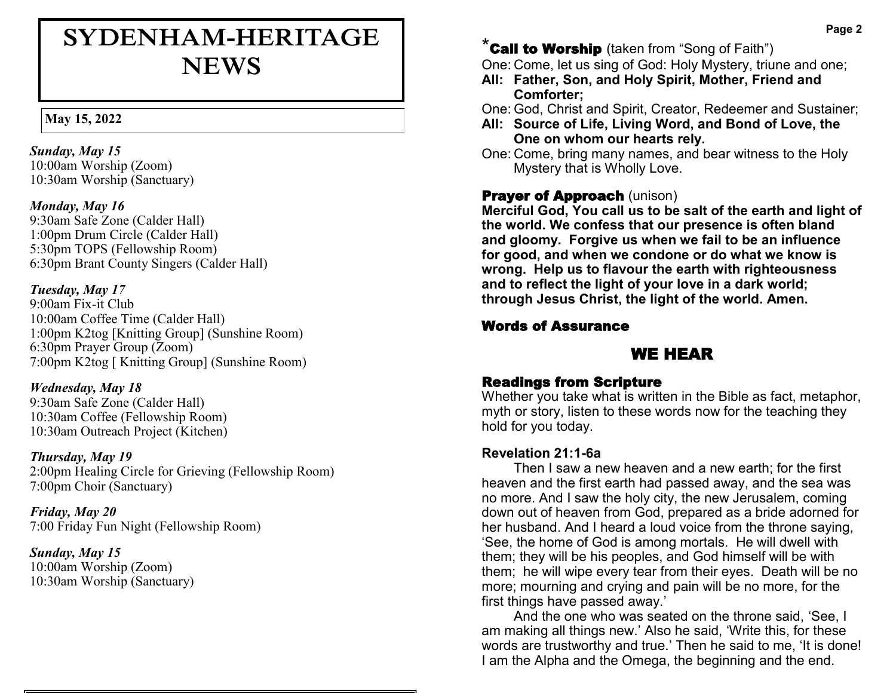# **SYDENHAM-HERITAGE NEWS**

#### **May 15, 2022**

*Sunday, May 15* 10:00am Worship (Zoom) 10:30am Worship (Sanctuary)

#### *Monday, May 16*

9:30am Safe Zone (Calder Hall) 1:00pm Drum Circle (Calder Hall) 5:30pm TOPS (Fellowship Room) 6:30pm Brant County Singers (Calder Hall)

#### *Tuesday, May 17*

9:00am Fix-it Club 10:00am Coffee Time (Calder Hall) 1:00pm K2tog [Knitting Group] (Sunshine Room) 6:30pm Prayer Group (Zoom) 7:00pm K2tog [ Knitting Group] (Sunshine Room)

#### *Wednesday, May 18*

9:30am Safe Zone (Calder Hall) 10:30am Coffee (Fellowship Room) 10:30am Outreach Project (Kitchen)

#### *Thursday, May 19*

2:00pm Healing Circle for Grieving (Fellowship Room) 7:00pm Choir (Sanctuary)

*Friday, May 20* 7:00 Friday Fun Night (Fellowship Room)

*Sunday, May 15*  10:00am Worship (Zoom) 10:30am Worship (Sanctuary)

# $^*$ Call to Worship (taken from "Song of Faith")

One: Come, let us sing of God: Holy Mystery, triune and one;

**All: Father, Son, and Holy Spirit, Mother, Friend and Comforter;**

One: God, Christ and Spirit, Creator, Redeemer and Sustainer;

- **All: Source of Life, Living Word, and Bond of Love, the One on whom our hearts rely.**
- One: Come, bring many names, and bear witness to the Holy Mystery that is Wholly Love.

### **Prayer of Approach (unison)**

**Merciful God, You call us to be salt of the earth and light of the world. We confess that our presence is often bland and gloomy. Forgive us when we fail to be an influence for good, and when we condone or do what we know is wrong. Help us to flavour the earth with righteousness and to reflect the light of your love in a dark world; through Jesus Christ, the light of the world. Amen.**

#### Words of Assurance

### WE HEAR

#### Readings from Scripture

Whether you take what is written in the Bible as fact, metaphor, myth or story, listen to these words now for the teaching they hold for you today.

#### **Revelation 21:1-6a**

Then I saw a new heaven and a new earth; for the first heaven and the first earth had passed away, and the sea was no more. And I saw the holy city, the new Jerusalem, coming down out of heaven from God, prepared as a bride adorned for her husband. And I heard a loud voice from the throne saying, 'See, the home of God is among mortals. He will dwell with them; they will be his peoples, and God himself will be with them; he will wipe every tear from their eyes. Death will be no more; mourning and crying and pain will be no more, for the first things have passed away.'

And the one who was seated on the throne said, 'See, I am making all things new.' Also he said, 'Write this, for these words are trustworthy and true.' Then he said to me, 'It is done! I am the Alpha and the Omega, the beginning and the end.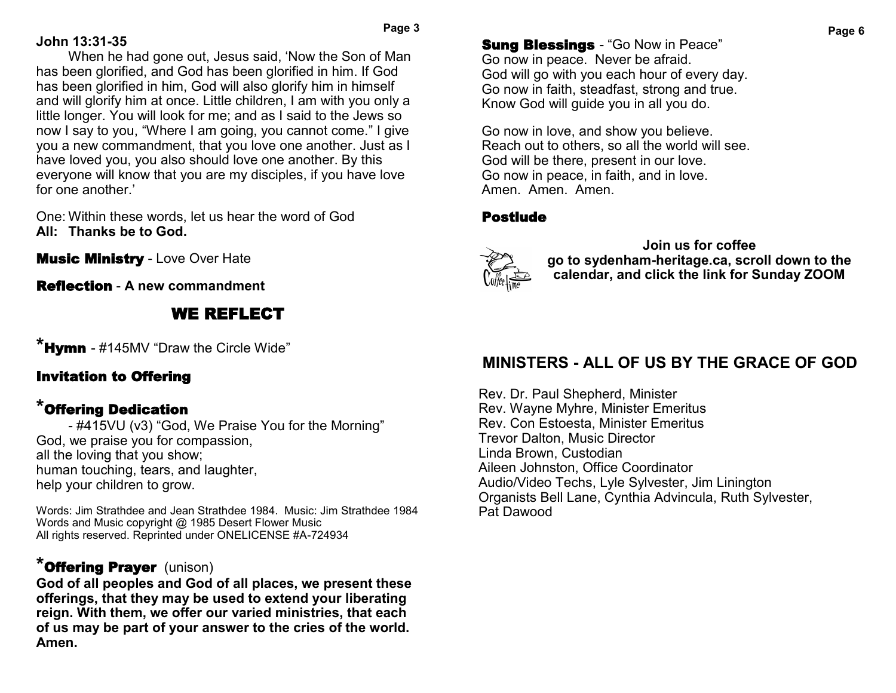### **John 13:31-35**

When he had gone out, Jesus said, 'Now the Son of Man has been glorified, and God has been glorified in him. If God has been glorified in him, God will also glorify him in himself and will glorify him at once. Little children, I am with you only a little longer. You will look for me; and as I said to the Jews so now I say to you, "Where I am going, you cannot come." I give you a new commandment, that you love one another. Just as I have loved you, you also should love one another. By this everyone will know that you are my disciples, if you have love for one another.'

One: Within these words, let us hear the word of God **All: Thanks be to God.**

**Music Ministry - Love Over Hate** 

Reflection - **A new commandment**

# WE REFLECT

**\***Hymn - #145MV "Draw the Circle Wide"

# Invitation to Offering

# **\***Offering Dedication

- #415VU (v3) "God, We Praise You for the Morning" God, we praise you for compassion, all the loving that you show; human touching, tears, and laughter, help your children to grow.

Words: Jim Strathdee and Jean Strathdee 1984. Music: Jim Strathdee 1984 Words and Music copyright @ 1985 Desert Flower Music All rights reserved. Reprinted under ONELICENSE #A-724934

# **\***Offering Prayer (unison)

**God of all peoples and God of all places, we present these offerings, that they may be used to extend your liberating reign. With them, we offer our varied ministries, that each of us may be part of your answer to the cries of the world. Amen.**

**Sung Blessings - "Go Now in Peace"** Go now in peace. Never be afraid. God will go with you each hour of every day. Go now in faith, steadfast, strong and true. Know God will guide you in all you do.

Go now in love, and show you believe. Reach out to others, so all the world will see. God will be there, present in our love. Go now in peace, in faith, and in love. Amen. Amen. Amen.

### Postlude



**Join us for coffee go to sydenham-heritage.ca, scroll down to the calendar, and click the link for Sunday ZOOM**

# **MINISTERS - ALL OF US BY THE GRACE OF GOD**

Rev. Dr. Paul Shepherd, Minister Rev. Wayne Myhre, Minister Emeritus Rev. Con Estoesta, Minister Emeritus Trevor Dalton, Music Director Linda Brown, Custodian Aileen Johnston, Office Coordinator Audio/Video Techs, Lyle Sylvester, Jim Linington Organists Bell Lane, Cynthia Advincula, Ruth Sylvester, Pat Dawood